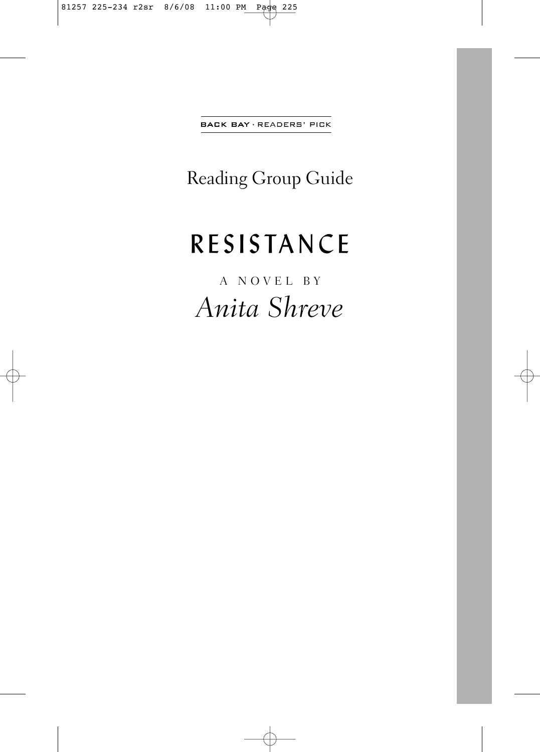**BACK BAY · READERS' PICK** 

Reading Group Guide

# RESISTANCE

A NOVEL BY *Anita Shreve*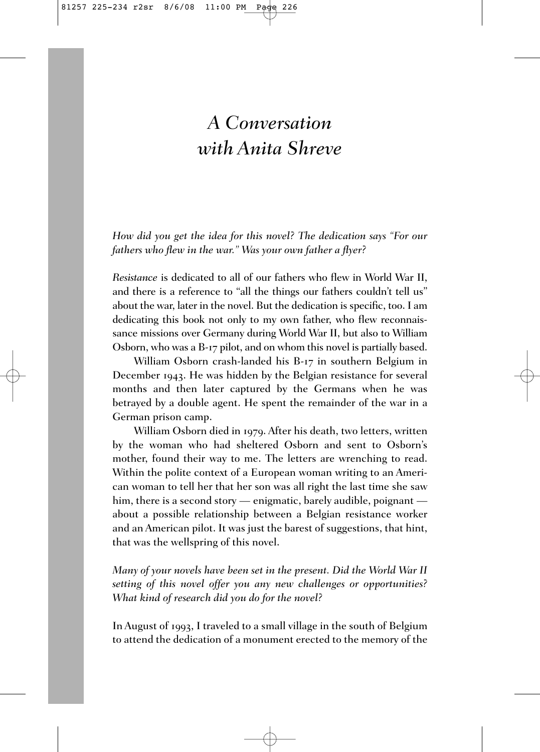# *A Conversation with Anita Shreve*

*How did you get the idea for this novel? The dedication says "For our fathers who flew in the war." Was your own father a flyer?*

*Resistance* is dedicated to all of our fathers who flew in World War II, and there is a reference to "all the things our fathers couldn't tell us" about the war, later in the novel. But the dedication is specific, too. I am dedicating this book not only to my own father, who flew reconnaissance missions over Germany during World War II, but also to William Osborn, who was a B-17 pilot, and on whom this novel is partially based.

William Osborn crash-landed his B-17 in southern Belgium in December 1943. He was hidden by the Belgian resistance for several months and then later captured by the Germans when he was betrayed by a double agent. He spent the remainder of the war in a German prison camp.

William Osborn died in 1979. After his death, two letters, written by the woman who had sheltered Osborn and sent to Osborn's mother, found their way to me. The letters are wrenching to read. Within the polite context of a European woman writing to an American woman to tell her that her son was all right the last time she saw him, there is a second story — enigmatic, barely audible, poignant about a possible relationship between a Belgian resistance worker and an American pilot. It was just the barest of suggestions, that hint, that was the wellspring of this novel.

*Many of your novels have been set in the present. Did the World War II setting of this novel offer you any new challenges or opportunities? What kind of research did you do for the novel?*

In August of 1993, I traveled to a small village in the south of Belgium to attend the dedication of a monument erected to the memory of the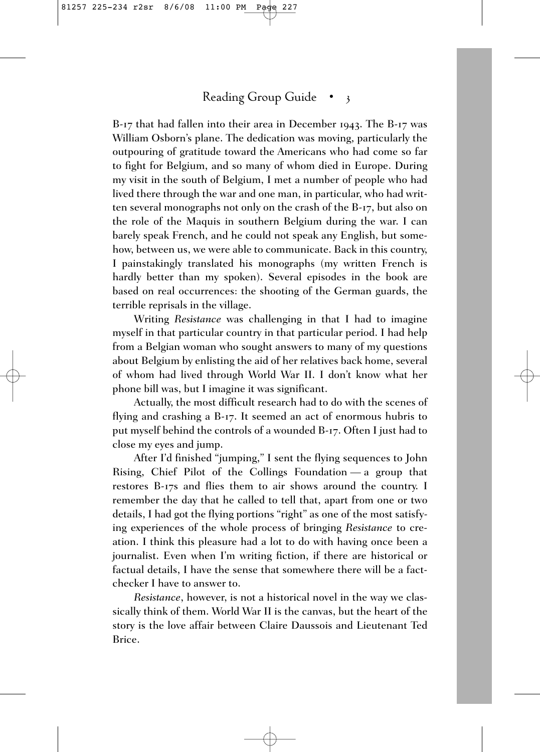## Reading Group Guide • 3

B-17 that had fallen into their area in December 1943. The B-17 was William Osborn's plane. The dedication was moving, particularly the outpouring of gratitude toward the Americans who had come so far to fight for Belgium, and so many of whom died in Europe. During my visit in the south of Belgium, I met a number of people who had lived there through the war and one man, in particular, who had written several monographs not only on the crash of the B-17, but also on the role of the Maquis in southern Belgium during the war. I can barely speak French, and he could not speak any English, but somehow, between us, we were able to communicate. Back in this country, I painstakingly translated his monographs (my written French is hardly better than my spoken). Several episodes in the book are based on real occurrences: the shooting of the German guards, the terrible reprisals in the village.

Writing *Resistance* was challenging in that I had to imagine myself in that particular country in that particular period. I had help from a Belgian woman who sought answers to many of my questions about Belgium by enlisting the aid of her relatives back home, several of whom had lived through World War II. I don't know what her phone bill was, but I imagine it was significant.

Actually, the most difficult research had to do with the scenes of flying and crashing a B-17. It seemed an act of enormous hubris to put myself behind the controls of a wounded B-17. Often I just had to close my eyes and jump.

After I'd finished "jumping," I sent the flying sequences to John Rising, Chief Pilot of the Collings Foundation — a group that restores B-17s and flies them to air shows around the country. I remember the day that he called to tell that, apart from one or two details, I had got the flying portions "right" as one of the most satisfying experiences of the whole process of bringing *Resistance* to creation. I think this pleasure had a lot to do with having once been a journalist. Even when I'm writing fiction, if there are historical or factual details, I have the sense that somewhere there will be a factchecker I have to answer to.

*Resistance*, however, is not a historical novel in the way we classically think of them. World War II is the canvas, but the heart of the story is the love affair between Claire Daussois and Lieutenant Ted Brice.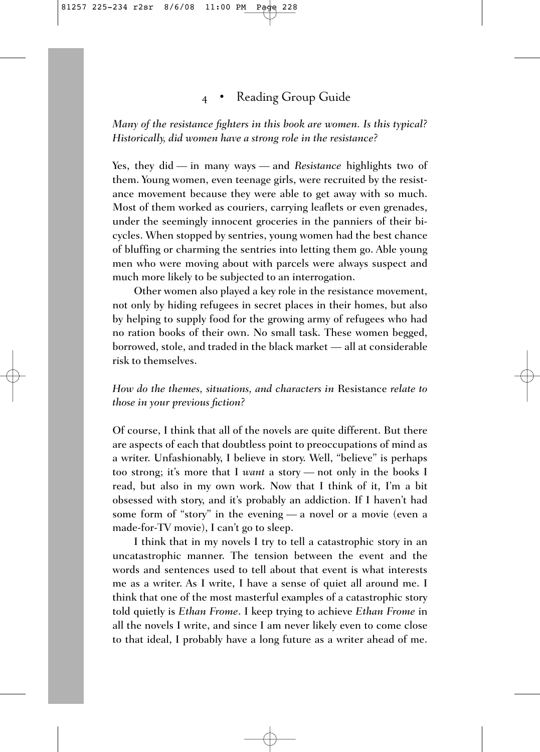### 4 • Reading Group Guide

*Many of the resistance fighters in this book are women. Is this typical? Historically, did women have a strong role in the resistance?*

Yes, they did — in many ways — and *Resistance* highlights two of them. Young women, even teenage girls, were recruited by the resistance movement because they were able to get away with so much. Most of them worked as couriers, carrying leaflets or even grenades, under the seemingly innocent groceries in the panniers of their bicycles. When stopped by sentries, young women had the best chance of bluffing or charming the sentries into letting them go. Able young men who were moving about with parcels were always suspect and much more likely to be subjected to an interrogation.

Other women also played a key role in the resistance movement, not only by hiding refugees in secret places in their homes, but also by helping to supply food for the growing army of refugees who had no ration books of their own. No small task. These women begged, borrowed, stole, and traded in the black market — all at considerable risk to themselves.

#### *How do the themes, situations, and characters in* Resistance *relate to those in your previous fiction?*

Of course, I think that all of the novels are quite different. But there are aspects of each that doubtless point to preoccupations of mind as a writer. Unfashionably, I believe in story. Well, "believe" is perhaps too strong; it's more that I *want* a story — not only in the books I read, but also in my own work. Now that I think of it, I'm a bit obsessed with story, and it's probably an addiction. If I haven't had some form of "story" in the evening — a novel or a movie (even a made-for-TV movie), I can't go to sleep.

I think that in my novels I try to tell a catastrophic story in an uncatastrophic manner. The tension between the event and the words and sentences used to tell about that event is what interests me as a writer. As I write, I have a sense of quiet all around me. I think that one of the most masterful examples of a catastrophic story told quietly is *Ethan Frome*. I keep trying to achieve *Ethan Frome* in all the novels I write, and since I am never likely even to come close to that ideal, I probably have a long future as a writer ahead of me.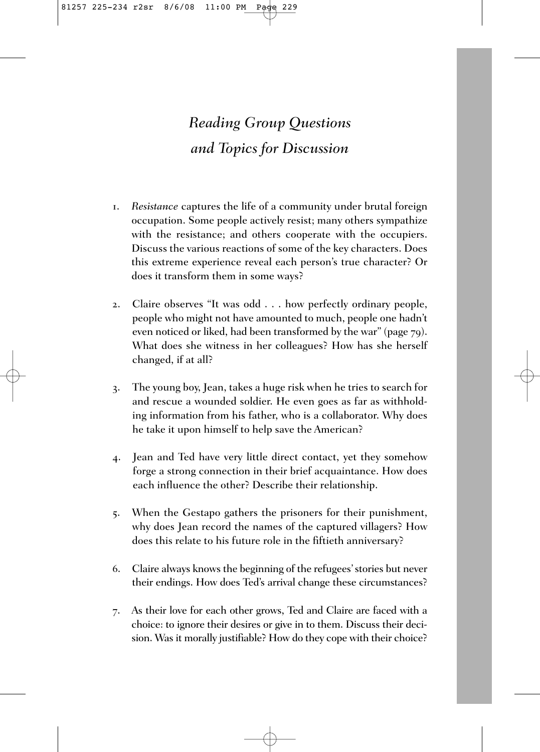# *Reading Group Questions and Topics for Discussion*

- 1. *Resistance* captures the life of a community under brutal foreign occupation. Some people actively resist; many others sympathize with the resistance; and others cooperate with the occupiers. Discuss the various reactions of some of the key characters. Does this extreme experience reveal each person's true character? Or does it transform them in some ways?
- 2. Claire observes "It was odd . . . how perfectly ordinary people, people who might not have amounted to much, people one hadn't even noticed or liked, had been transformed by the war" (page 79). What does she witness in her colleagues? How has she herself changed, if at all?
- 3. The young boy, Jean, takes a huge risk when he tries to search for and rescue a wounded soldier. He even goes as far as withholding information from his father, who is a collaborator. Why does he take it upon himself to help save the American?
- 4. Jean and Ted have very little direct contact, yet they somehow forge a strong connection in their brief acquaintance. How does each influence the other? Describe their relationship.
- 5. When the Gestapo gathers the prisoners for their punishment, why does Jean record the names of the captured villagers? How does this relate to his future role in the fiftieth anniversary?
- 6. Claire always knows the beginning of the refugees' stories but never their endings. How does Ted's arrival change these circumstances?
- 7. As their love for each other grows, Ted and Claire are faced with a choice: to ignore their desires or give in to them. Discuss their decision. Was it morally justifiable? How do they cope with their choice?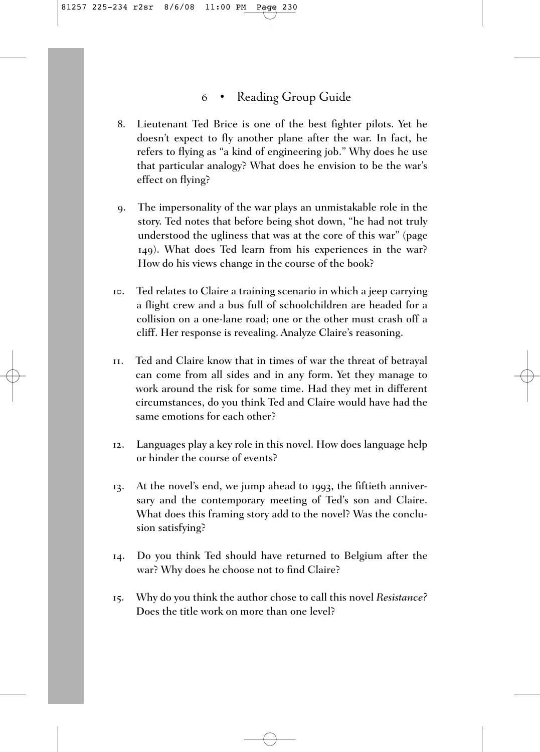### 6 • Reading Group Guide

- 8. Lieutenant Ted Brice is one of the best fighter pilots. Yet he doesn't expect to fly another plane after the war. In fact, he refers to flying as "a kind of engineering job." Why does he use that particular analogy? What does he envision to be the war's effect on flying?
- 9. The impersonality of the war plays an unmistakable role in the story. Ted notes that before being shot down, "he had not truly understood the ugliness that was at the core of this war" (page 149). What does Ted learn from his experiences in the war? How do his views change in the course of the book?
- 10. Ted relates to Claire a training scenario in which a jeep carrying a flight crew and a bus full of schoolchildren are headed for a collision on a one-lane road; one or the other must crash off a cliff. Her response is revealing. Analyze Claire's reasoning.
- 11. Ted and Claire know that in times of war the threat of betrayal can come from all sides and in any form. Yet they manage to work around the risk for some time. Had they met in different circumstances, do you think Ted and Claire would have had the same emotions for each other?
- 12. Languages play a key role in this novel. How does language help or hinder the course of events?
- 13. At the novel's end, we jump ahead to 1993, the fiftieth anniversary and the contemporary meeting of Ted's son and Claire. What does this framing story add to the novel? Was the conclusion satisfying?
- 14. Do you think Ted should have returned to Belgium after the war? Why does he choose not to find Claire?
- 15. Why do you think the author chose to call this novel *Resistance?* Does the title work on more than one level?